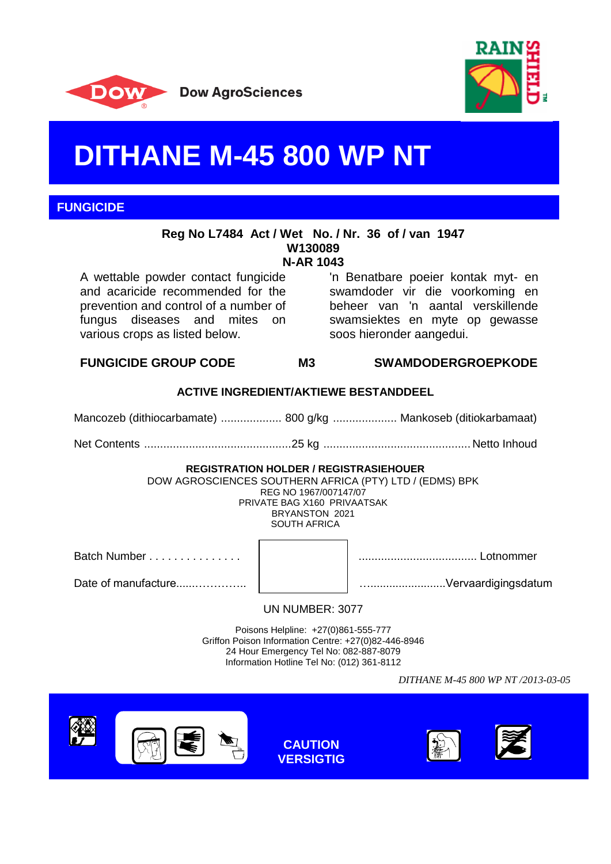



# **DITHANE M-45 800 WP NT**

**FUNGICIDE**

#### **Reg No L7484 Act / Wet No. / Nr. 36 of / van 1947 W130089 N-AR 1043**

A wettable powder contact fungicide and acaricide recommended for the prevention and control of a number of fungus diseases and mites on various crops as listed below.

'n Benatbare poeier kontak myt- en swamdoder vir die voorkoming en beheer van 'n aantal verskillende swamsiektes en myte op gewasse soos hieronder aangedui.

**FUNGICIDE GROUP CODE M3 SWAMDODERGROEPKODE**

## **ACTIVE INGREDIENT/AKTIEWE BESTANDDEEL**

Mancozeb (dithiocarbamate) ................... 800 g/kg .................... Mankoseb (ditiokarbamaat)

Net Contents ..............................................25 kg .............................................. Netto Inhoud

#### **REGISTRATION HOLDER / REGISTRASIEHOUER**

DOW AGROSCIENCES SOUTHERN AFRICA (PTY) LTD / (EDMS) BPK REG NO 1967/007147/07 PRIVATE BAG X160 PRIVAATSAK BRYANSTON 2021 SOUTH AFRICA

Batch Number . . . . . . . . . . . . . . . ..................................... Lotnommer

Date of manufacture......………….. …........................Vervaardigingsdatum

UN NUMBER: 3077

Poisons Helpline: +27(0)861-555-777 Griffon Poison Information Centre: +27(0)82-446-8946 24 Hour Emergency Tel No: 082-887-8079 Information Hotline Tel No: (012) 361-8112

*DITHANE M-45 800 WP NT /2013-03-05*







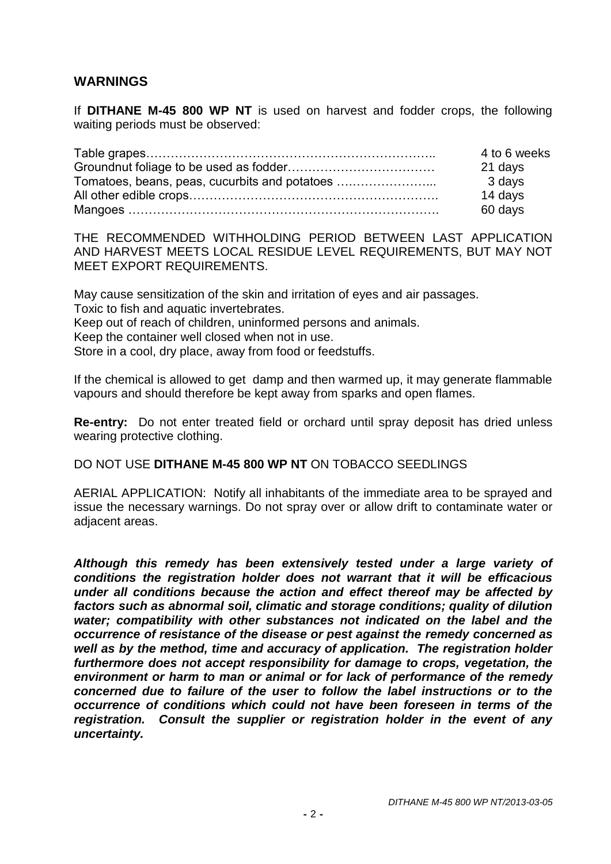# **WARNINGS**

If **DITHANE M-45 800 WP NT** is used on harvest and fodder crops, the following waiting periods must be observed:

|                                               | 4 to 6 weeks |
|-----------------------------------------------|--------------|
|                                               | 21 days      |
| Tomatoes, beans, peas, cucurbits and potatoes | 3 days       |
|                                               | 14 days      |
|                                               | 60 days      |

THE RECOMMENDED WITHHOLDING PERIOD BETWEEN LAST APPLICATION AND HARVEST MEETS LOCAL RESIDUE LEVEL REQUIREMENTS, BUT MAY NOT MEET EXPORT REQUIREMENTS.

May cause sensitization of the skin and irritation of eyes and air passages. Toxic to fish and aquatic invertebrates. Keep out of reach of children, uninformed persons and animals. Keep the container well closed when not in use. Store in a cool, dry place, away from food or feedstuffs.

If the chemical is allowed to get damp and then warmed up, it may generate flammable vapours and should therefore be kept away from sparks and open flames.

**Re-entry:** Do not enter treated field or orchard until spray deposit has dried unless wearing protective clothing.

## DO NOT USE **DITHANE M-45 800 WP NT** ON TOBACCO SEEDLINGS

AERIAL APPLICATION: Notify all inhabitants of the immediate area to be sprayed and issue the necessary warnings. Do not spray over or allow drift to contaminate water or adjacent areas.

*Although this remedy has been extensively tested under a large variety of conditions the registration holder does not warrant that it will be efficacious under all conditions because the action and effect thereof may be affected by factors such as abnormal soil, climatic and storage conditions; quality of dilution water; compatibility with other substances not indicated on the label and the occurrence of resistance of the disease or pest against the remedy concerned as well as by the method, time and accuracy of application. The registration holder furthermore does not accept responsibility for damage to crops, vegetation, the environment or harm to man or animal or for lack of performance of the remedy concerned due to failure of the user to follow the label instructions or to the occurrence of conditions which could not have been foreseen in terms of the registration. Consult the supplier or registration holder in the event of any uncertainty.*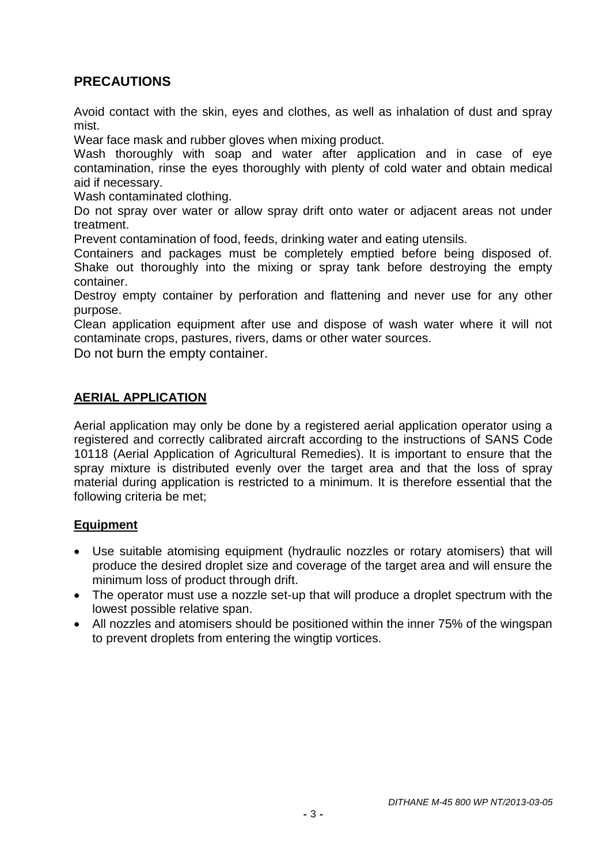# **PRECAUTIONS**

Avoid contact with the skin, eyes and clothes, as well as inhalation of dust and spray mist.

Wear face mask and rubber gloves when mixing product.

Wash thoroughly with soap and water after application and in case of eye contamination, rinse the eyes thoroughly with plenty of cold water and obtain medical aid if necessary.

Wash contaminated clothing.

Do not spray over water or allow spray drift onto water or adiacent areas not under treatment.

Prevent contamination of food, feeds, drinking water and eating utensils.

Containers and packages must be completely emptied before being disposed of. Shake out thoroughly into the mixing or spray tank before destroying the empty container.

Destroy empty container by perforation and flattening and never use for any other purpose.

Clean application equipment after use and dispose of wash water where it will not contaminate crops, pastures, rivers, dams or other water sources.

Do not burn the empty container.

## **AERIAL APPLICATION**

Aerial application may only be done by a registered aerial application operator using a registered and correctly calibrated aircraft according to the instructions of SANS Code 10118 (Aerial Application of Agricultural Remedies). It is important to ensure that the spray mixture is distributed evenly over the target area and that the loss of spray material during application is restricted to a minimum. It is therefore essential that the following criteria be met;

## **Equipment**

- Use suitable atomising equipment (hydraulic nozzles or rotary atomisers) that will produce the desired droplet size and coverage of the target area and will ensure the minimum loss of product through drift.
- The operator must use a nozzle set-up that will produce a droplet spectrum with the lowest possible relative span.
- All nozzles and atomisers should be positioned within the inner 75% of the wingspan to prevent droplets from entering the wingtip vortices.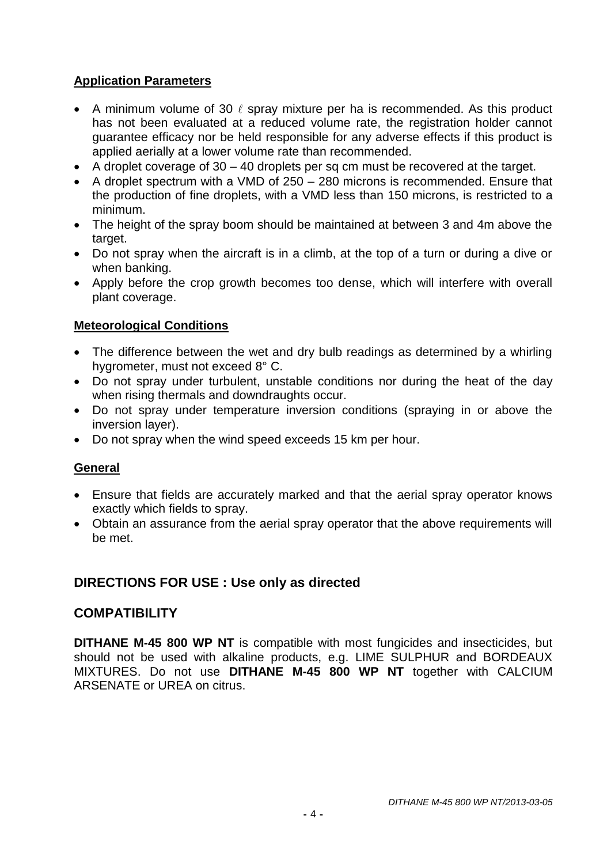# **Application Parameters**

- A minimum volume of 30  $\ell$  spray mixture per ha is recommended. As this product has not been evaluated at a reduced volume rate, the registration holder cannot guarantee efficacy nor be held responsible for any adverse effects if this product is applied aerially at a lower volume rate than recommended.
- $\bullet$  A droplet coverage of 30 40 droplets per sq cm must be recovered at the target.
- A droplet spectrum with a VMD of 250 280 microns is recommended. Ensure that the production of fine droplets, with a VMD less than 150 microns, is restricted to a minimum.
- The height of the spray boom should be maintained at between 3 and 4m above the target.
- Do not spray when the aircraft is in a climb, at the top of a turn or during a dive or when banking.
- Apply before the crop growth becomes too dense, which will interfere with overall plant coverage.

## **Meteorological Conditions**

- The difference between the wet and dry bulb readings as determined by a whirling hygrometer, must not exceed 8° C.
- Do not spray under turbulent, unstable conditions nor during the heat of the day when rising thermals and downdraughts occur.
- Do not spray under temperature inversion conditions (spraying in or above the inversion layer).
- Do not spray when the wind speed exceeds 15 km per hour.

## **General**

- Ensure that fields are accurately marked and that the aerial spray operator knows exactly which fields to spray.
- Obtain an assurance from the aerial spray operator that the above requirements will be met.

## **DIRECTIONS FOR USE : Use only as directed**

## **COMPATIBILITY**

**DITHANE M-45 800 WP NT** is compatible with most fungicides and insecticides, but should not be used with alkaline products, e.g. LIME SULPHUR and BORDEAUX MIXTURES. Do not use **DITHANE M-45 800 WP NT** together with CALCIUM ARSENATE or UREA on citrus.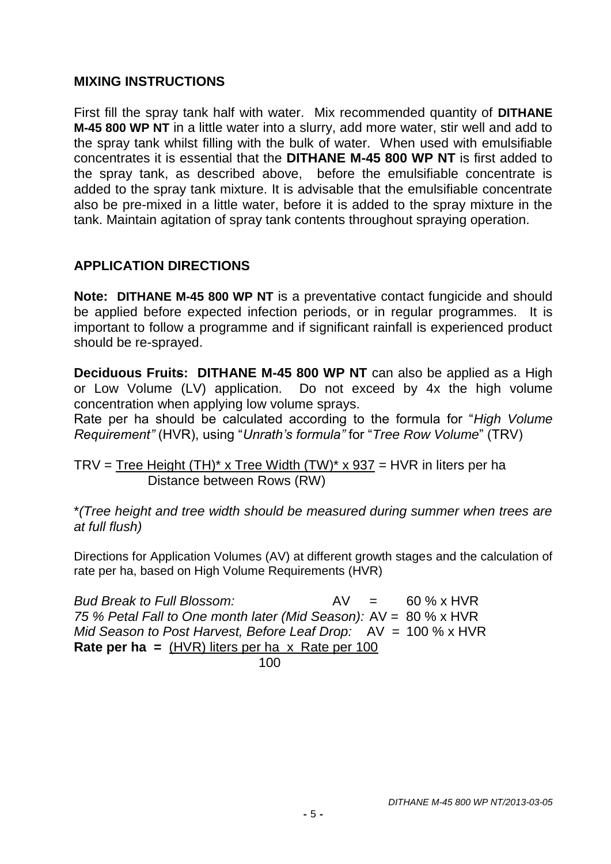# **MIXING INSTRUCTIONS**

First fill the spray tank half with water. Mix recommended quantity of **DITHANE M-45 800 WP NT** in a little water into a slurry, add more water, stir well and add to the spray tank whilst filling with the bulk of water. When used with emulsifiable concentrates it is essential that the **DITHANE M-45 800 WP NT** is first added to the spray tank, as described above, before the emulsifiable concentrate is added to the spray tank mixture. It is advisable that the emulsifiable concentrate also be pre-mixed in a little water, before it is added to the spray mixture in the tank. Maintain agitation of spray tank contents throughout spraying operation.

# **APPLICATION DIRECTIONS**

**Note: DITHANE M-45 800 WP NT** is a preventative contact fungicide and should be applied before expected infection periods, or in regular programmes. It is important to follow a programme and if significant rainfall is experienced product should be re-sprayed.

**Deciduous Fruits: DITHANE M-45 800 WP NT** can also be applied as a High or Low Volume (LV) application. Do not exceed by 4x the high volume concentration when applying low volume sprays.

Rate per ha should be calculated according to the formula for "*High Volume Requirement"* (HVR), using "*Unrath's formula"* for "*Tree Row Volume*" (TRV)

TRV = Tree Height  $(TH)^*$  x Tree Width  $(TW)^*$  x 937 = HVR in liters per ha Distance between Rows (RW)

\**(Tree height and tree width should be measured during summer when trees are at full flush)*

Directions for Application Volumes (AV) at different growth stages and the calculation of rate per ha, based on High Volume Requirements (HVR)

*Bud Break to Full Blossom:* AV = 60 % x HVR *75 % Petal Fall to One month later (Mid Season):* AV = 80 % x HVR *Mid Season to Post Harvest, Before Leaf Drop:* AV = 100 % x HVR **Rate per ha =** (HVR) liters per ha x Rate per 100 100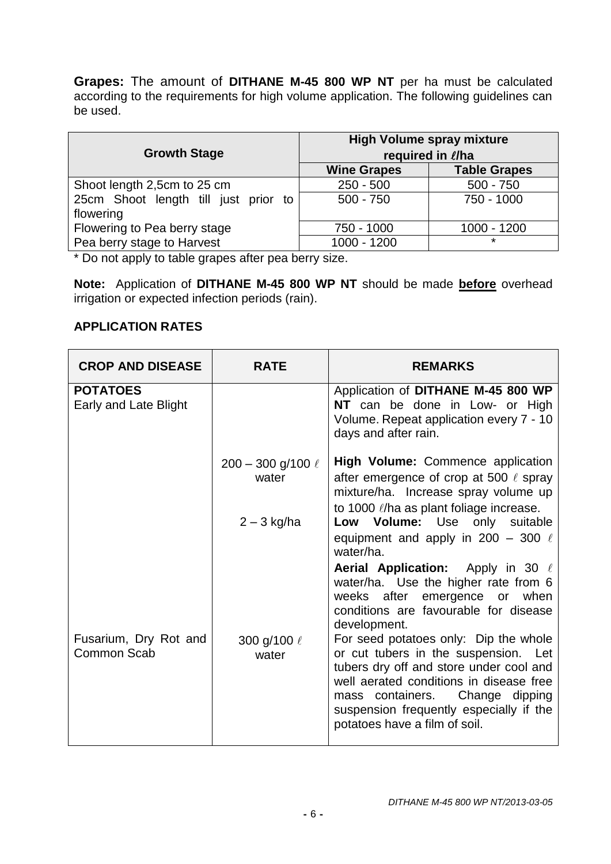**Grapes:** The amount of **DITHANE M-45 800 WP NT** per ha must be calculated according to the requirements for high volume application. The following guidelines can be used.

| <b>Growth Stage</b>                  | <b>High Volume spray mixture</b><br>required in l/ha |                     |  |
|--------------------------------------|------------------------------------------------------|---------------------|--|
|                                      | <b>Wine Grapes</b>                                   | <b>Table Grapes</b> |  |
| Shoot length 2,5cm to 25 cm          | $250 - 500$                                          | $500 - 750$         |  |
| 25cm Shoot length till just prior to | $500 - 750$                                          | 750 - 1000          |  |
| flowering                            |                                                      |                     |  |
| Flowering to Pea berry stage         | 750 - 1000                                           | 1000 - 1200         |  |
| Pea berry stage to Harvest           | 1000 - 1200                                          | $\star$             |  |

\* Do not apply to table grapes after pea berry size.

**Note:** Application of **DITHANE M-45 800 WP NT** should be made **before** overhead irrigation or expected infection periods (rain).

## **APPLICATION RATES**

| <b>CROP AND DISEASE</b>                  | <b>RATE</b>                       | <b>REMARKS</b>                                                                                                                                                                                                                                                                                                                                                                                                                                                        |
|------------------------------------------|-----------------------------------|-----------------------------------------------------------------------------------------------------------------------------------------------------------------------------------------------------------------------------------------------------------------------------------------------------------------------------------------------------------------------------------------------------------------------------------------------------------------------|
| <b>POTATOES</b><br>Early and Late Blight |                                   | Application of DITHANE M-45 800 WP<br>NT can be done in Low- or High<br>Volume. Repeat application every 7 - 10<br>days and after rain.                                                                                                                                                                                                                                                                                                                               |
|                                          | $200 - 300$ g/100 $\ell$<br>water | <b>High Volume:</b> Commence application<br>after emergence of crop at 500 $\ell$ spray<br>mixture/ha. Increase spray volume up<br>to 1000 l/ha as plant foliage increase.                                                                                                                                                                                                                                                                                            |
|                                          | $2 - 3$ kg/ha                     | Low Volume: Use only suitable<br>equipment and apply in 200 – 300 $\ell$<br>water/ha.                                                                                                                                                                                                                                                                                                                                                                                 |
| Fusarium, Dry Rot and<br>Common Scab     | 300 g/100 $\ell$<br>water         | <b>Aerial Application:</b> Apply in 30 $\ell$<br>water/ha. Use the higher rate from 6<br>weeks after emergence or when<br>conditions are favourable for disease<br>development.<br>For seed potatoes only: Dip the whole<br>or cut tubers in the suspension. Let<br>tubers dry off and store under cool and<br>well aerated conditions in disease free<br>mass containers. Change dipping<br>suspension frequently especially if the<br>potatoes have a film of soil. |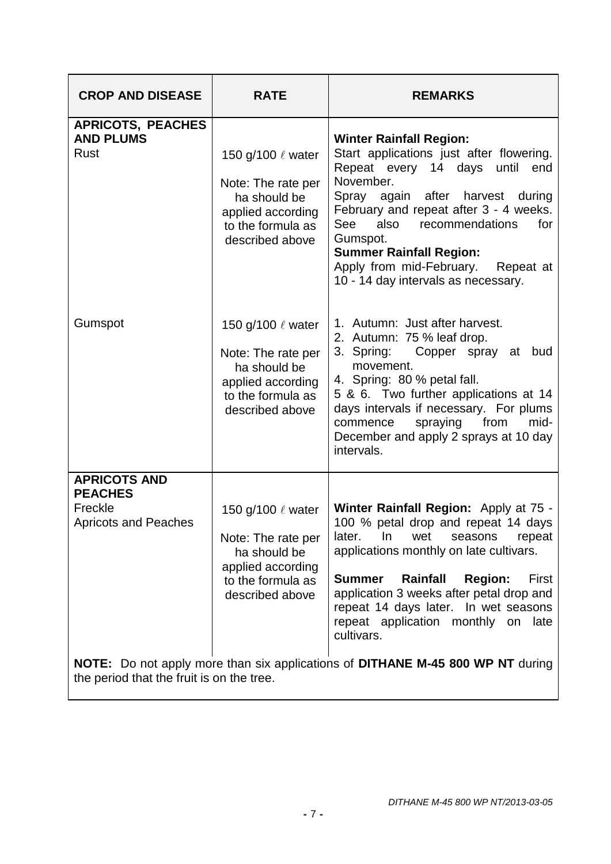| <b>CROP AND DISEASE</b>                                                         | <b>RATE</b>                                                                                                               | <b>REMARKS</b>                                                                                                                                                                                                                                                                                                                                                                 |
|---------------------------------------------------------------------------------|---------------------------------------------------------------------------------------------------------------------------|--------------------------------------------------------------------------------------------------------------------------------------------------------------------------------------------------------------------------------------------------------------------------------------------------------------------------------------------------------------------------------|
| <b>APRICOTS, PEACHES</b><br><b>AND PLUMS</b><br><b>Rust</b>                     | 150 g/100 $\ell$ water<br>Note: The rate per<br>ha should be<br>applied according<br>to the formula as<br>described above | <b>Winter Rainfall Region:</b><br>Start applications just after flowering.<br>Repeat every 14 days until<br>end<br>November.<br>Spray again after harvest during<br>February and repeat after 3 - 4 weeks.<br>for<br>See<br>also<br>recommendations<br>Gumspot.<br><b>Summer Rainfall Region:</b><br>Apply from mid-February. Repeat at<br>10 - 14 day intervals as necessary. |
| Gumspot                                                                         | 150 g/100 $\ell$ water<br>Note: The rate per<br>ha should be<br>applied according<br>to the formula as<br>described above | 1. Autumn: Just after harvest.<br>2. Autumn: 75 % leaf drop.<br>3. Spring:<br>Copper spray at bud<br>movement.<br>4. Spring: 80 % petal fall.<br>5 & 6. Two further applications at 14<br>days intervals if necessary. For plums<br>spraying from<br>mid-<br>commence<br>December and apply 2 sprays at 10 day<br>intervals.                                                   |
| <b>APRICOTS AND</b><br><b>PEACHES</b><br>Freckle<br><b>Apricots and Peaches</b> | 150 g/100 ℓ water<br>Note: The rate per<br>ha should be<br>applied according<br>to the formula as<br>described above      | Winter Rainfall Region: Apply at 75 -<br>100 % petal drop and repeat 14 days<br>later. In wet seasons<br>repeat<br>applications monthly on late cultivars.<br><b>Summer</b><br>Rainfall<br><b>Region:</b><br>First<br>application 3 weeks after petal drop and<br>repeat 14 days later. In wet seasons<br>repeat application monthly on late<br>cultivars.                     |
| the period that the fruit is on the tree.                                       |                                                                                                                           | <b>NOTE:</b> Do not apply more than six applications of <b>DITHANE M-45 800 WP NT</b> during                                                                                                                                                                                                                                                                                   |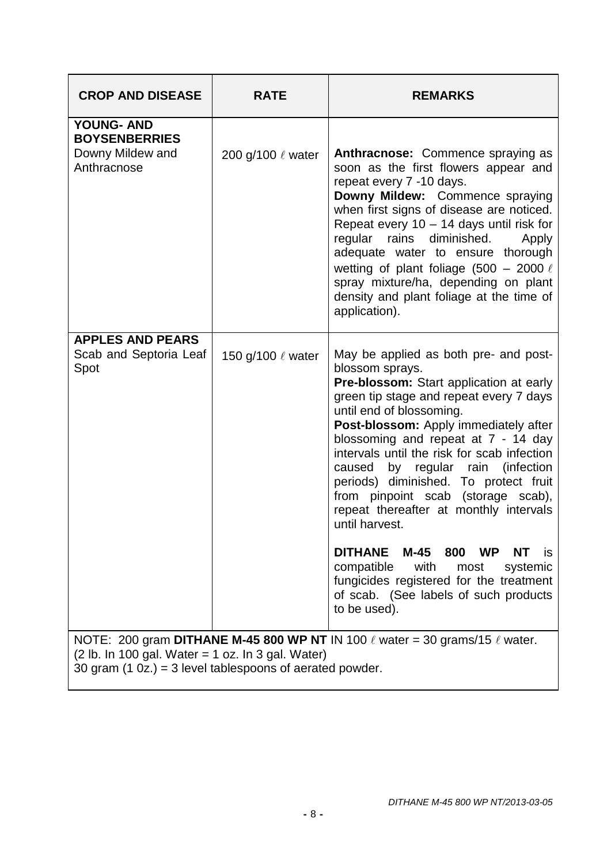| <b>CROP AND DISEASE</b>                                                                                          | <b>RATE</b>            | <b>REMARKS</b>                                                                                                                                                                                                                                                                                                                                                                                                                                                                                   |
|------------------------------------------------------------------------------------------------------------------|------------------------|--------------------------------------------------------------------------------------------------------------------------------------------------------------------------------------------------------------------------------------------------------------------------------------------------------------------------------------------------------------------------------------------------------------------------------------------------------------------------------------------------|
| <b>YOUNG- AND</b><br><b>BOYSENBERRIES</b><br>Downy Mildew and<br>Anthracnose                                     | 200 g/100 ℓ water      | Anthracnose: Commence spraying as<br>soon as the first flowers appear and<br>repeat every 7 -10 days.<br>Downy Mildew: Commence spraying<br>when first signs of disease are noticed.<br>Repeat every 10 - 14 days until risk for<br>regular rains diminished.<br>Apply<br>adequate water to ensure thorough<br>wetting of plant foliage (500 - 2000 $\ell$<br>spray mixture/ha, depending on plant<br>density and plant foliage at the time of<br>application).                                  |
| <b>APPLES AND PEARS</b><br>Scab and Septoria Leaf<br>Spot                                                        | 150 g/100 $\ell$ water | May be applied as both pre- and post-<br>blossom sprays.<br>Pre-blossom: Start application at early<br>green tip stage and repeat every 7 days<br>until end of blossoming.<br>Post-blossom: Apply immediately after<br>blossoming and repeat at 7 - 14 day<br>intervals until the risk for scab infection<br>by regular rain<br>(infection)<br>caused<br>periods) diminished. To protect fruit<br>from pinpoint scab (storage scab),<br>repeat thereafter at monthly intervals<br>until harvest. |
|                                                                                                                  |                        | M-45<br>DITHANE<br>800<br><b>WP</b><br><b>NT</b><br><b>is</b><br>with<br>compatible<br>systemic<br>most<br>fungicides registered for the treatment<br>of scab. (See labels of such products<br>to be used).                                                                                                                                                                                                                                                                                      |
| $(2 lb. In 100 gal. Water = 1 oz. In 3 gal. Water)$<br>30 gram $(1 0z) = 3$ level tablespoons of aerated powder. |                        | NOTE: 200 gram DITHANE M-45 800 WP NT IN 100 $\ell$ water = 30 grams/15 $\ell$ water.                                                                                                                                                                                                                                                                                                                                                                                                            |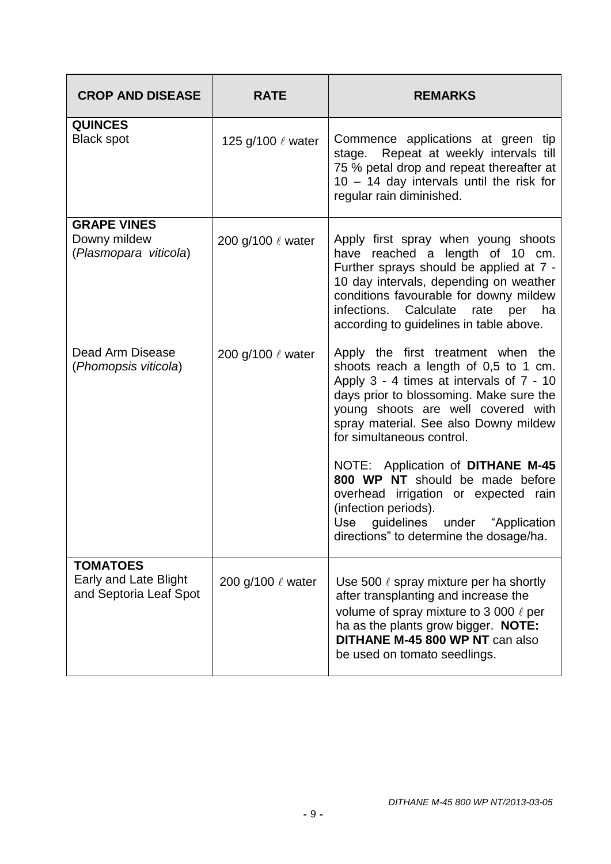| <b>CROP AND DISEASE</b>                                            | <b>RATE</b>            | <b>REMARKS</b>                                                                                                                                                                                                                                                                                    |
|--------------------------------------------------------------------|------------------------|---------------------------------------------------------------------------------------------------------------------------------------------------------------------------------------------------------------------------------------------------------------------------------------------------|
| <b>QUINCES</b><br><b>Black spot</b>                                | 125 g/100 $\ell$ water | Commence applications at green tip<br>stage. Repeat at weekly intervals till<br>75 % petal drop and repeat thereafter at<br>10 - 14 day intervals until the risk for<br>regular rain diminished.                                                                                                  |
| <b>GRAPE VINES</b><br>Downy mildew<br>(Plasmopara viticola)        | 200 g/100 $\ell$ water | Apply first spray when young shoots<br>have reached a length of 10 cm.<br>Further sprays should be applied at 7 -<br>10 day intervals, depending on weather<br>conditions favourable for downy mildew<br>infections.<br>Calculate<br>rate<br>per<br>ha<br>according to guidelines in table above. |
| Dead Arm Disease<br>(Phomopsis viticola)                           | 200 g/100 $\ell$ water | Apply the first treatment when the<br>shoots reach a length of 0,5 to 1 cm.<br>Apply 3 - 4 times at intervals of 7 - 10<br>days prior to blossoming. Make sure the<br>young shoots are well covered with<br>spray material. See also Downy mildew<br>for simultaneous control.                    |
|                                                                    |                        | NOTE: Application of DITHANE M-45<br>800 WP NT should be made before<br>overhead irrigation or expected rain<br>(infection periods).<br>guidelines under "Application<br>Use<br>directions" to determine the dosage/ha.                                                                           |
| <b>TOMATOES</b><br>Early and Late Blight<br>and Septoria Leaf Spot | 200 g/100 & water      | Use 500 $\ell$ spray mixture per ha shortly<br>after transplanting and increase the<br>volume of spray mixture to 3 000 $\ell$ per<br>ha as the plants grow bigger. NOTE:<br>DITHANE M-45 800 WP NT can also<br>be used on tomato seedlings.                                                      |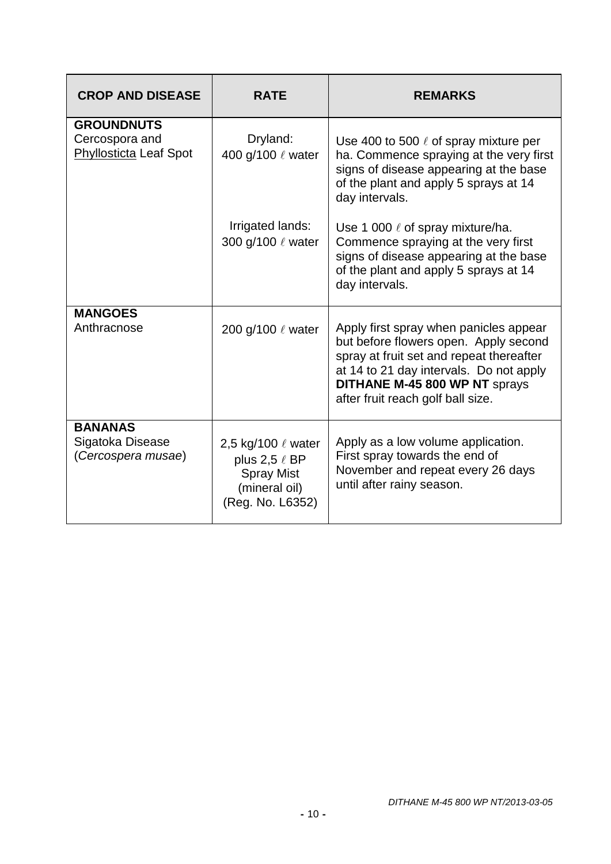| <b>CROP AND DISEASE</b>                                              | <b>RATE</b>                                                                                             | <b>REMARKS</b>                                                                                                                                                                                                                               |
|----------------------------------------------------------------------|---------------------------------------------------------------------------------------------------------|----------------------------------------------------------------------------------------------------------------------------------------------------------------------------------------------------------------------------------------------|
| <b>GROUNDNUTS</b><br>Cercospora and<br><b>Phyllosticta Leaf Spot</b> | Dryland:<br>400 g/100 & water                                                                           | Use 400 to 500 $\ell$ of spray mixture per<br>ha. Commence spraying at the very first<br>signs of disease appearing at the base<br>of the plant and apply 5 sprays at 14<br>day intervals.                                                   |
|                                                                      | Irrigated lands:<br>300 g/100 & water                                                                   | Use 1 000 $\ell$ of spray mixture/ha.<br>Commence spraying at the very first<br>signs of disease appearing at the base<br>of the plant and apply 5 sprays at 14<br>day intervals.                                                            |
| <b>MANGOES</b><br>Anthracnose                                        | 200 g/100 $\ell$ water                                                                                  | Apply first spray when panicles appear<br>but before flowers open. Apply second<br>spray at fruit set and repeat thereafter<br>at 14 to 21 day intervals. Do not apply<br>DITHANE M-45 800 WP NT sprays<br>after fruit reach golf ball size. |
| <b>BANANAS</b><br>Sigatoka Disease<br>(Cercospera musae)             | 2,5 kg/100 $\ell$ water<br>plus 2,5 $\ell$ BP<br><b>Spray Mist</b><br>(mineral oil)<br>(Reg. No. L6352) | Apply as a low volume application.<br>First spray towards the end of<br>November and repeat every 26 days<br>until after rainy season.                                                                                                       |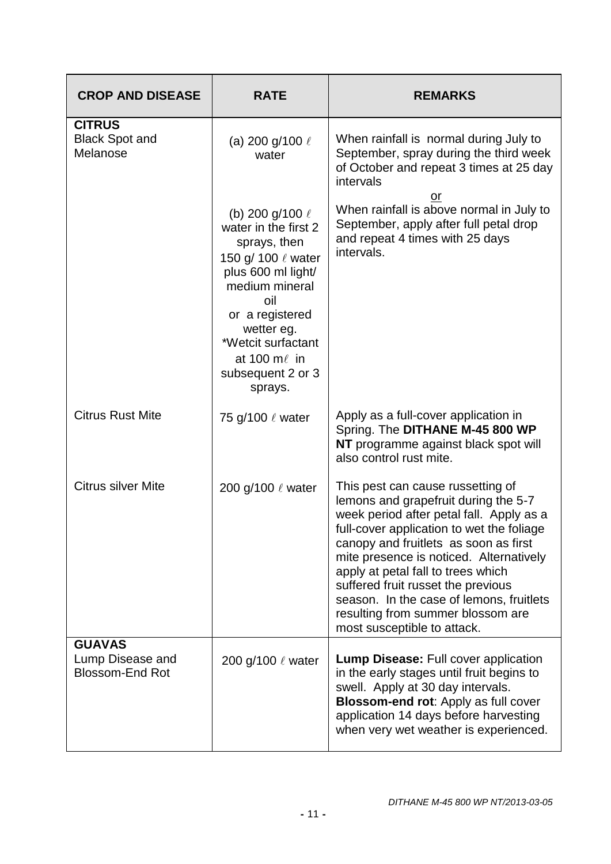| <b>CROP AND DISEASE</b>                                     | <b>RATE</b>                                                                                                                                                                                                                                        | <b>REMARKS</b>                                                                                                                                                                                                                                                                                                                                                                                                                                     |
|-------------------------------------------------------------|----------------------------------------------------------------------------------------------------------------------------------------------------------------------------------------------------------------------------------------------------|----------------------------------------------------------------------------------------------------------------------------------------------------------------------------------------------------------------------------------------------------------------------------------------------------------------------------------------------------------------------------------------------------------------------------------------------------|
| <b>CITRUS</b><br><b>Black Spot and</b><br>Melanose          | (a) 200 g/100 $\ell$<br>water                                                                                                                                                                                                                      | When rainfall is normal during July to<br>September, spray during the third week<br>of October and repeat 3 times at 25 day<br>intervals<br>or<br>When rainfall is above normal in July to                                                                                                                                                                                                                                                         |
|                                                             | (b) 200 g/100 $\ell$<br>water in the first 2<br>sprays, then<br>150 g/ 100 $\ell$ water<br>plus 600 ml light/<br>medium mineral<br>oil<br>or a registered<br>wetter eg.<br>*Wetcit surfactant<br>at 100 $m\ell$ in<br>subsequent 2 or 3<br>sprays. | September, apply after full petal drop<br>and repeat 4 times with 25 days<br>intervals.                                                                                                                                                                                                                                                                                                                                                            |
| <b>Citrus Rust Mite</b>                                     | 75 g/100 ℓ water                                                                                                                                                                                                                                   | Apply as a full-cover application in<br>Spring. The DITHANE M-45 800 WP<br>NT programme against black spot will<br>also control rust mite.                                                                                                                                                                                                                                                                                                         |
| <b>Citrus silver Mite</b>                                   | 200 g/100 $\ell$ water                                                                                                                                                                                                                             | This pest can cause russetting of<br>lemons and grapefruit during the 5-7<br>week period after petal fall. Apply as a<br>full-cover application to wet the foliage<br>canopy and fruitlets as soon as first<br>mite presence is noticed. Alternatively<br>apply at petal fall to trees which<br>suffered fruit russet the previous<br>season. In the case of lemons, fruitlets<br>resulting from summer blossom are<br>most susceptible to attack. |
| <b>GUAVAS</b><br>Lump Disease and<br><b>Blossom-End Rot</b> | 200 g/100 & water                                                                                                                                                                                                                                  | <b>Lump Disease: Full cover application</b><br>in the early stages until fruit begins to<br>swell. Apply at 30 day intervals.<br><b>Blossom-end rot: Apply as full cover</b><br>application 14 days before harvesting<br>when very wet weather is experienced.                                                                                                                                                                                     |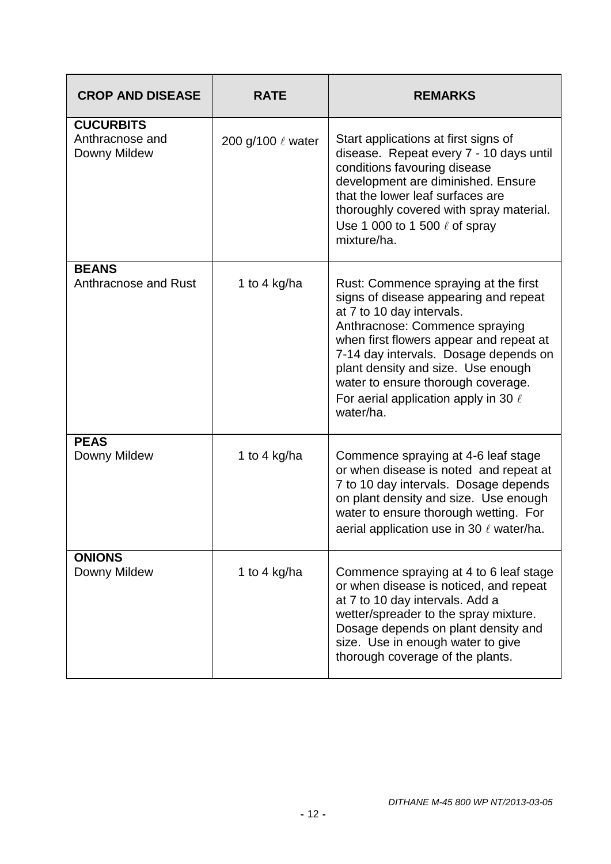| <b>CROP AND DISEASE</b>                             | <b>RATE</b>            | <b>REMARKS</b>                                                                                                                                                                                                                                                                                                                                                         |
|-----------------------------------------------------|------------------------|------------------------------------------------------------------------------------------------------------------------------------------------------------------------------------------------------------------------------------------------------------------------------------------------------------------------------------------------------------------------|
| <b>CUCURBITS</b><br>Anthracnose and<br>Downy Mildew | 200 g/100 $\ell$ water | Start applications at first signs of<br>disease. Repeat every 7 - 10 days until<br>conditions favouring disease<br>development are diminished. Ensure<br>that the lower leaf surfaces are<br>thoroughly covered with spray material.<br>Use 1 000 to 1 500 $\ell$ of spray<br>mixture/ha.                                                                              |
| <b>BEANS</b><br>Anthracnose and Rust                | 1 to 4 kg/ha           | Rust: Commence spraying at the first<br>signs of disease appearing and repeat<br>at 7 to 10 day intervals.<br>Anthracnose: Commence spraying<br>when first flowers appear and repeat at<br>7-14 day intervals. Dosage depends on<br>plant density and size. Use enough<br>water to ensure thorough coverage.<br>For aerial application apply in 30 $\ell$<br>water/ha. |
| <b>PEAS</b><br>Downy Mildew                         | 1 to 4 kg/ha           | Commence spraying at 4-6 leaf stage<br>or when disease is noted and repeat at<br>7 to 10 day intervals. Dosage depends<br>on plant density and size. Use enough<br>water to ensure thorough wetting. For<br>aerial application use in 30 $\ell$ water/ha.                                                                                                              |
| <b>ONIONS</b><br>Downy Mildew                       | 1 to 4 kg/ha           | Commence spraying at 4 to 6 leaf stage<br>or when disease is noticed, and repeat<br>at 7 to 10 day intervals. Add a<br>wetter/spreader to the spray mixture.<br>Dosage depends on plant density and<br>size. Use in enough water to give<br>thorough coverage of the plants.                                                                                           |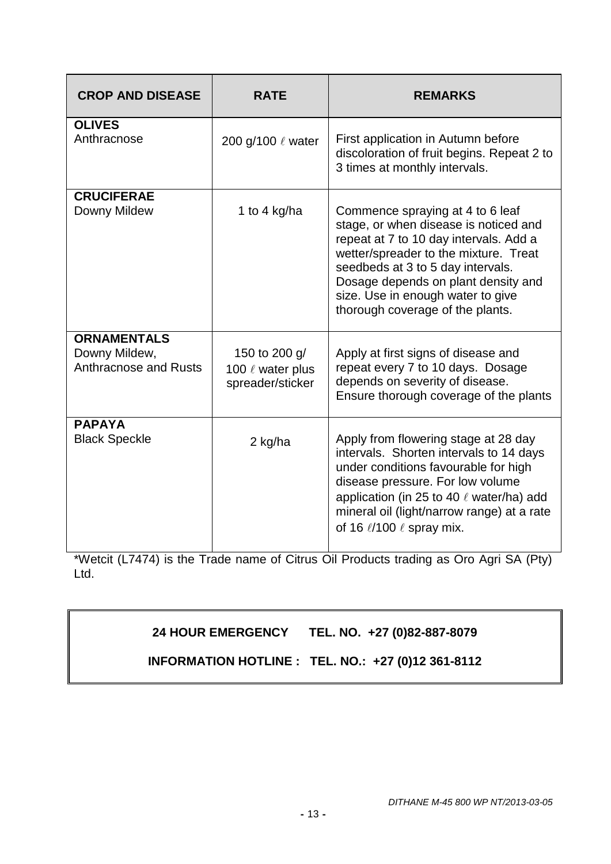| <b>CROP AND DISEASE</b>                                             | <b>RATE</b>                                                | <b>REMARKS</b>                                                                                                                                                                                                                                                                                                    |
|---------------------------------------------------------------------|------------------------------------------------------------|-------------------------------------------------------------------------------------------------------------------------------------------------------------------------------------------------------------------------------------------------------------------------------------------------------------------|
| <b>OLIVES</b><br>Anthracnose                                        | 200 g/100 $\ell$ water                                     | First application in Autumn before<br>discoloration of fruit begins. Repeat 2 to<br>3 times at monthly intervals.                                                                                                                                                                                                 |
| <b>CRUCIFERAE</b><br>Downy Mildew                                   | 1 to 4 kg/ha                                               | Commence spraying at 4 to 6 leaf<br>stage, or when disease is noticed and<br>repeat at 7 to 10 day intervals. Add a<br>wetter/spreader to the mixture. Treat<br>seedbeds at 3 to 5 day intervals.<br>Dosage depends on plant density and<br>size. Use in enough water to give<br>thorough coverage of the plants. |
| <b>ORNAMENTALS</b><br>Downy Mildew,<br><b>Anthracnose and Rusts</b> | 150 to 200 g/<br>100 $\ell$ water plus<br>spreader/sticker | Apply at first signs of disease and<br>repeat every 7 to 10 days. Dosage<br>depends on severity of disease.<br>Ensure thorough coverage of the plants                                                                                                                                                             |
| <b>PAPAYA</b><br><b>Black Speckle</b>                               | 2 kg/ha                                                    | Apply from flowering stage at 28 day<br>intervals. Shorten intervals to 14 days<br>under conditions favourable for high<br>disease pressure. For low volume<br>application (in 25 to 40 $\ell$ water/ha) add<br>mineral oil (light/narrow range) at a rate<br>of 16 $\ell$ /100 $\ell$ spray mix.                 |

\*Wetcit (L7474) is the Trade name of Citrus Oil Products trading as Oro Agri SA (Pty) Ltd.

# **24 HOUR EMERGENCY TEL. NO. +27 (0)82-887-8079**

**INFORMATION HOTLINE : TEL. NO.: +27 (0)12 361-8112**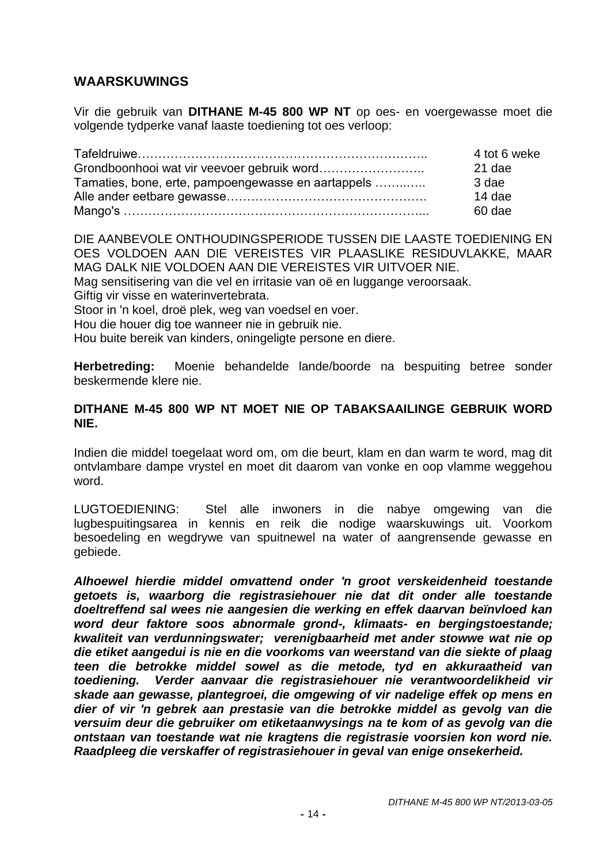# **WAARSKUWINGS**

Vir die gebruik van **DITHANE M-45 800 WP NT** op oes- en voergewasse moet die volgende tydperke vanaf laaste toediening tot oes verloop:

|                                                    | 4 tot 6 weke |
|----------------------------------------------------|--------------|
|                                                    | 21 dae       |
| Tamaties, bone, erte, pampoengewasse en aartappels | 3 dae        |
|                                                    | $14$ dae     |
|                                                    | 60 dae       |

DIE AANBEVOLE ONTHOUDINGSPERIODE TUSSEN DIE LAASTE TOEDIENING EN OES VOLDOEN AAN DIE VEREISTES VIR PLAASLIKE RESIDUVLAKKE, MAAR MAG DALK NIE VOLDOEN AAN DIE VEREISTES VIR UITVOER NIE.

Mag sensitisering van die vel en irritasie van oë en luggange veroorsaak.

Giftig vir visse en waterinvertebrata.

Stoor in 'n koel, droë plek, weg van voedsel en voer.

Hou die houer dig toe wanneer nie in gebruik nie.

Hou buite bereik van kinders, oningeligte persone en diere.

**Herbetreding:** Moenie behandelde lande/boorde na bespuiting betree sonder beskermende klere nie.

#### **DITHANE M-45 800 WP NT MOET NIE OP TABAKSAAILINGE GEBRUIK WORD NIE.**

Indien die middel toegelaat word om, om die beurt, klam en dan warm te word, mag dit ontvlambare dampe vrystel en moet dit daarom van vonke en oop vlamme weggehou word.

LUGTOEDIENING: Stel alle inwoners in die nabye omgewing van die lugbespuitingsarea in kennis en reik die nodige waarskuwings uit. Voorkom besoedeling en wegdrywe van spuitnewel na water of aangrensende gewasse en gebiede.

*Alhoewel hierdie middel omvattend onder 'n groot verskeidenheid toestande getoets is, waarborg die registrasiehouer nie dat dit onder alle toestande doeltreffend sal wees nie aangesien die werking en effek daarvan beïnvloed kan word deur faktore soos abnormale grond-, klimaats- en bergingstoestande; kwaliteit van verdunningswater; verenigbaarheid met ander stowwe wat nie op die etiket aangedui is nie en die voorkoms van weerstand van die siekte of plaag teen die betrokke middel sowel as die metode, tyd en akkuraatheid van toediening. Verder aanvaar die registrasiehouer nie verantwoordelikheid vir skade aan gewasse, plantegroei, die omgewing of vir nadelige effek op mens en dier of vir 'n gebrek aan prestasie van die betrokke middel as gevolg van die versuim deur die gebruiker om etiketaanwysings na te kom of as gevolg van die ontstaan van toestande wat nie kragtens die registrasie voorsien kon word nie. Raadpleeg die verskaffer of registrasiehouer in geval van enige onsekerheid.*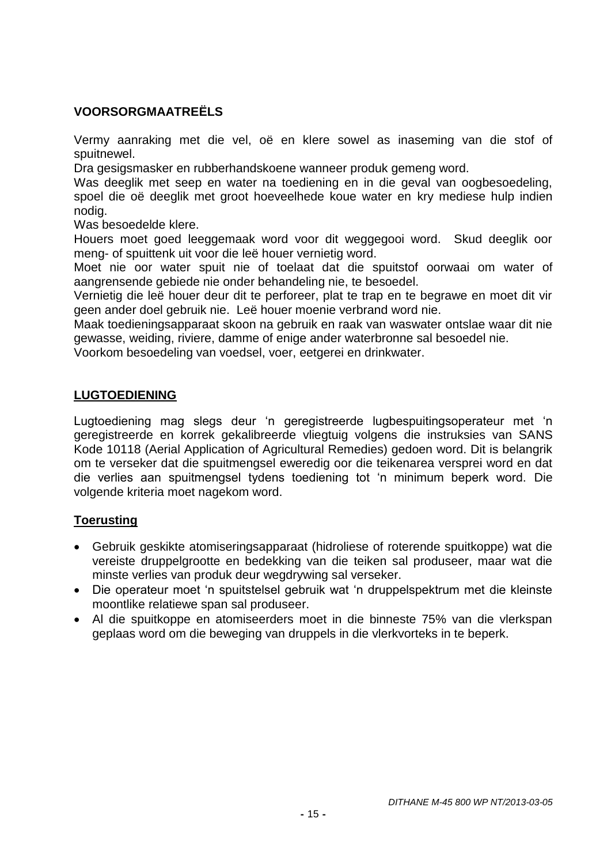# **VOORSORGMAATREËLS**

Vermy aanraking met die vel, oë en klere sowel as inaseming van die stof of spuitnewel.

Dra gesigsmasker en rubberhandskoene wanneer produk gemeng word.

Was deeglik met seep en water na toediening en in die geval van oogbesoedeling, spoel die oë deeglik met groot hoeveelhede koue water en kry mediese hulp indien nodig.

Was besoedelde klere.

Houers moet goed leeggemaak word voor dit weggegooi word. Skud deeglik oor meng- of spuittenk uit voor die leë houer vernietig word.

Moet nie oor water spuit nie of toelaat dat die spuitstof oorwaai om water of aangrensende gebiede nie onder behandeling nie, te besoedel.

Vernietig die leë houer deur dit te perforeer, plat te trap en te begrawe en moet dit vir geen ander doel gebruik nie. Leë houer moenie verbrand word nie.

Maak toedieningsapparaat skoon na gebruik en raak van waswater ontslae waar dit nie gewasse, weiding, riviere, damme of enige ander waterbronne sal besoedel nie.

Voorkom besoedeling van voedsel, voer, eetgerei en drinkwater.

## **LUGTOEDIENING**

Lugtoediening mag slegs deur 'n geregistreerde lugbespuitingsoperateur met 'n geregistreerde en korrek gekalibreerde vliegtuig volgens die instruksies van SANS Kode 10118 (Aerial Application of Agricultural Remedies) gedoen word. Dit is belangrik om te verseker dat die spuitmengsel eweredig oor die teikenarea versprei word en dat die verlies aan spuitmengsel tydens toediening tot 'n minimum beperk word. Die volgende kriteria moet nagekom word.

## **Toerusting**

- Gebruik geskikte atomiseringsapparaat (hidroliese of roterende spuitkoppe) wat die vereiste druppelgrootte en bedekking van die teiken sal produseer, maar wat die minste verlies van produk deur wegdrywing sal verseker.
- Die operateur moet 'n spuitstelsel gebruik wat 'n druppelspektrum met die kleinste moontlike relatiewe span sal produseer.
- Al die spuitkoppe en atomiseerders moet in die binneste 75% van die vlerkspan geplaas word om die beweging van druppels in die vlerkvorteks in te beperk.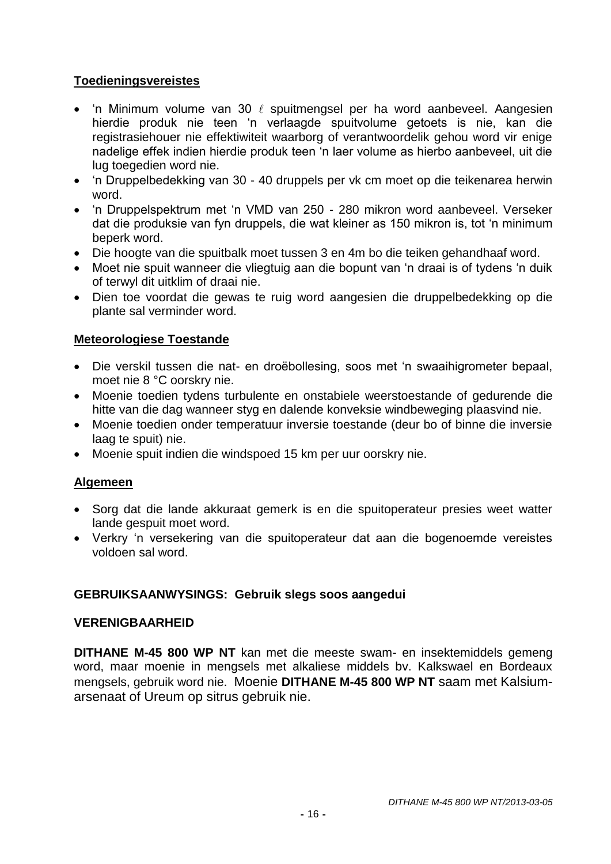# **Toedieningsvereistes**

- 'n Minimum volume van 30  $\ell$  spuitmengsel per ha word aanbeveel. Aangesien hierdie produk nie teen 'n verlaagde spuitvolume getoets is nie, kan die registrasiehouer nie effektiwiteit waarborg of verantwoordelik gehou word vir enige nadelige effek indien hierdie produk teen 'n laer volume as hierbo aanbeveel, uit die lug toegedien word nie.
- 'n Druppelbedekking van 30 40 druppels per vk cm moet op die teikenarea herwin word.
- 'n Druppelspektrum met 'n VMD van 250 280 mikron word aanbeveel. Verseker dat die produksie van fyn druppels, die wat kleiner as 150 mikron is, tot 'n minimum beperk word.
- Die hoogte van die spuitbalk moet tussen 3 en 4m bo die teiken gehandhaaf word.
- Moet nie spuit wanneer die vliegtuig aan die bopunt van 'n draai is of tydens 'n duik of terwyl dit uitklim of draai nie.
- Dien toe voordat die gewas te ruig word aangesien die druppelbedekking op die plante sal verminder word.

## **Meteorologiese Toestande**

- Die verskil tussen die nat- en droëbollesing, soos met 'n swaaihigrometer bepaal, moet nie 8 °C oorskry nie.
- Moenie toedien tydens turbulente en onstabiele weerstoestande of gedurende die hitte van die dag wanneer styg en dalende konveksie windbeweging plaasvind nie.
- Moenie toedien onder temperatuur inversie toestande (deur bo of binne die inversie laag te spuit) nie.
- Moenie spuit indien die windspoed 15 km per uur oorskry nie.

## **Algemeen**

- Sorg dat die lande akkuraat gemerk is en die spuitoperateur presies weet watter lande gespuit moet word.
- Verkry 'n versekering van die spuitoperateur dat aan die bogenoemde vereistes voldoen sal word.

## **GEBRUIKSAANWYSINGS: Gebruik slegs soos aangedui**

## **VERENIGBAARHEID**

**DITHANE M-45 800 WP NT** kan met die meeste swam- en insektemiddels gemeng word, maar moenie in mengsels met alkaliese middels bv. Kalkswael en Bordeaux mengsels, gebruik word nie. Moenie **DITHANE M-45 800 WP NT** saam met Kalsiumarsenaat of Ureum op sitrus gebruik nie.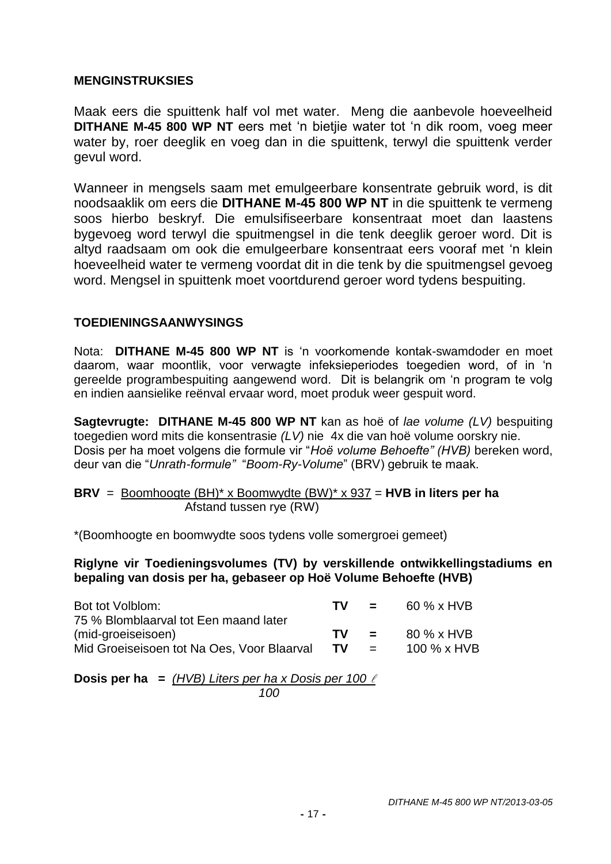## **MENGINSTRUKSIES**

Maak eers die spuittenk half vol met water. Meng die aanbevole hoeveelheid **DITHANE M-45 800 WP NT** eers met 'n bietjie water tot 'n dik room, voeg meer water by, roer deeglik en voeg dan in die spuittenk, terwyl die spuittenk verder gevul word.

Wanneer in mengsels saam met emulgeerbare konsentrate gebruik word, is dit noodsaaklik om eers die **DITHANE M-45 800 WP NT** in die spuittenk te vermeng soos hierbo beskryf. Die emulsifiseerbare konsentraat moet dan laastens bygevoeg word terwyl die spuitmengsel in die tenk deeglik geroer word. Dit is altyd raadsaam om ook die emulgeerbare konsentraat eers vooraf met 'n klein hoeveelheid water te vermeng voordat dit in die tenk by die spuitmengsel gevoeg word. Mengsel in spuittenk moet voortdurend geroer word tydens bespuiting.

## **TOEDIENINGSAANWYSINGS**

Nota: **DITHANE M-45 800 WP NT** is 'n voorkomende kontak-swamdoder en moet daarom, waar moontlik, voor verwagte infeksieperiodes toegedien word, of in 'n gereelde programbespuiting aangewend word. Dit is belangrik om 'n program te volg en indien aansielike reënval ervaar word, moet produk weer gespuit word.

**Sagtevrugte: DITHANE M-45 800 WP NT** kan as hoë of *lae volume (LV)* bespuiting toegedien word mits die konsentrasie *(LV)* nie 4x die van hoë volume oorskry nie. Dosis per ha moet volgens die formule vir "*Hoë volume Behoefte" (HVB)* bereken word, deur van die "*Unrath-formule"* "*Boom-Ry-Volume*" (BRV) gebruik te maak.

**BRV** = Boomhoogte (BH)\* x Boomwydte (BW)\* x 937 = **HVB in liters per ha** Afstand tussen rye (RW)

\*(Boomhoogte en boomwydte soos tydens volle somergroei gemeet)

**Riglyne vir Toedieningsvolumes (TV) by verskillende ontwikkellingstadiums en bepaling van dosis per ha, gebaseer op Hoë Volume Behoefte (HVB)**

| Bot tot Volblom:                                                                                          | TV.        | $\mathbf{r}$ and $\mathbf{r}$ | 60 % x HVB                |
|-----------------------------------------------------------------------------------------------------------|------------|-------------------------------|---------------------------|
| 75 % Blomblaarval tot Een maand later<br>(mid-groeiseisoen)<br>Mid Groeiseisoen tot Na Oes, Voor Blaarval | TV.<br>TV. | and the state of the          | 80 % x HVB<br>100 % x HVB |
|                                                                                                           |            | $\mathbf{r} = \mathbf{r}$     |                           |

**Dosis per ha =** *(HVB) Liters per ha x Dosis per 100 100*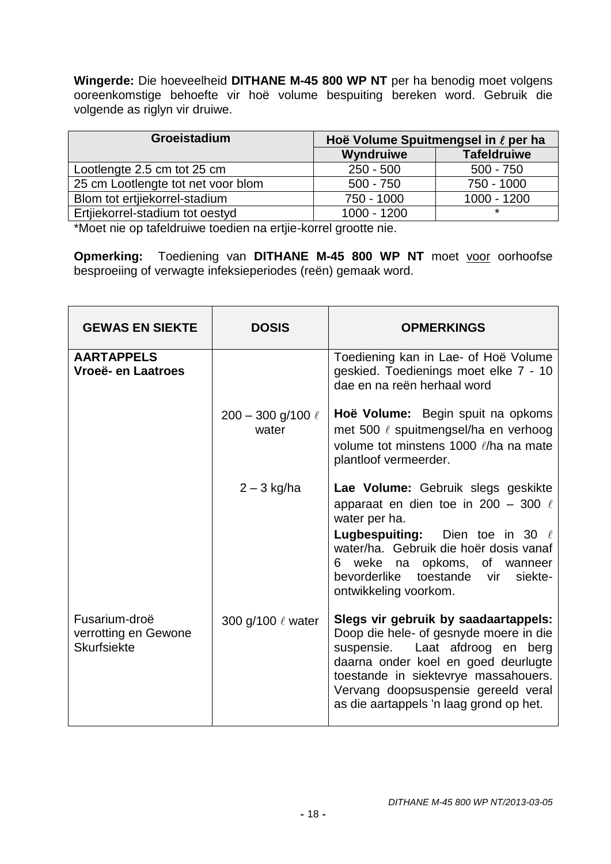**Wingerde:** Die hoeveelheid **DITHANE M-45 800 WP NT** per ha benodig moet volgens ooreenkomstige behoefte vir hoë volume bespuiting bereken word. Gebruik die volgende as riglyn vir druiwe.

| Groeistadium                       | Hoë Volume Spuitmengsel in ℓ per ha |                    |
|------------------------------------|-------------------------------------|--------------------|
|                                    | Wyndruiwe                           | <b>Tafeldruiwe</b> |
| Lootlengte 2.5 cm tot 25 cm        | $250 - 500$                         | $500 - 750$        |
| 25 cm Lootlengte tot net voor blom | $500 - 750$                         | 750 - 1000         |
| Blom tot ertjiekorrel-stadium      | 750 - 1000                          | $1000 - 1200$      |
| Ertjiekorrel-stadium tot oestyd    | $1000 - 1200$                       | $\star$            |

\*Moet nie op tafeldruiwe toedien na ertjie-korrel grootte nie.

**Opmerking:** Toediening van DITHANE M-45 800 WP NT moet voor oorhoofse besproeiing of verwagte infeksieperiodes (reën) gemaak word.

| <b>GEWAS EN SIEKTE</b>                                      | <b>DOSIS</b>                      | <b>OPMERKINGS</b>                                                                                                                                                                                                                                                                  |
|-------------------------------------------------------------|-----------------------------------|------------------------------------------------------------------------------------------------------------------------------------------------------------------------------------------------------------------------------------------------------------------------------------|
| <b>AARTAPPELS</b><br>Vroeë- en Laatroes                     |                                   | Toediening kan in Lae- of Hoë Volume<br>geskied. Toedienings moet elke 7 - 10<br>dae en na reën herhaal word                                                                                                                                                                       |
|                                                             | $200 - 300$ g/100 $\ell$<br>water | Hoë Volume: Begin spuit na opkoms<br>met 500 $\ell$ spuitmengsel/ha en verhoog<br>volume tot minstens 1000 l/ha na mate<br>plantloof vermeerder.                                                                                                                                   |
|                                                             | $2 - 3$ kg/ha                     | Lae Volume: Gebruik slegs geskikte<br>apparaat en dien toe in 200 - 300 $\ell$<br>water per ha.                                                                                                                                                                                    |
|                                                             |                                   | <b>Lugbespuiting:</b> Dien toe in 30 $\ell$<br>water/ha. Gebruik die hoër dosis vanaf<br>6 weke na opkoms, of wanneer<br>bevorderlike toestande<br>siekte-<br>vir<br>ontwikkeling voorkom.                                                                                         |
| Fusarium-droë<br>verrotting en Gewone<br><b>Skurfsiekte</b> | 300 g/100 $\ell$ water            | Slegs vir gebruik by saadaartappels:<br>Doop die hele- of gesnyde moere in die<br>suspensie. Laat afdroog en berg<br>daarna onder koel en goed deurlugte<br>toestande in siektevrye massahouers.<br>Vervang doopsuspensie gereeld veral<br>as die aartappels 'n laag grond op het. |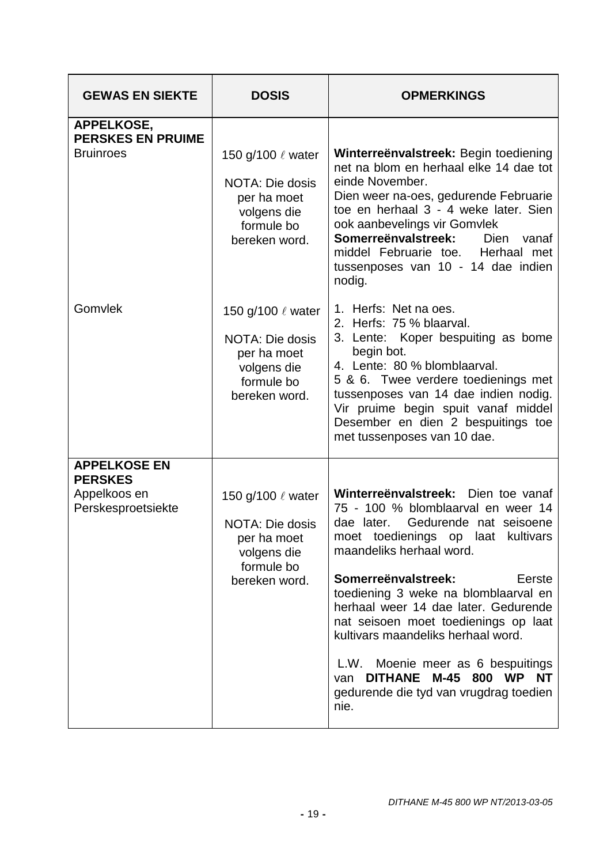| <b>GEWAS EN SIEKTE</b>                                                      | <b>DOSIS</b>                                                                                                  | <b>OPMERKINGS</b>                                                                                                                                                                                                                                                                                                                                                                                                                                                                                                    |
|-----------------------------------------------------------------------------|---------------------------------------------------------------------------------------------------------------|----------------------------------------------------------------------------------------------------------------------------------------------------------------------------------------------------------------------------------------------------------------------------------------------------------------------------------------------------------------------------------------------------------------------------------------------------------------------------------------------------------------------|
| APPELKOSE,<br><b>PERSKES EN PRUIME</b><br><b>Bruinroes</b>                  | 150 g/100 $\ell$ water<br><b>NOTA: Die dosis</b><br>per ha moet<br>volgens die<br>formule bo<br>bereken word. | Winterreënvalstreek: Begin toediening<br>net na blom en herhaal elke 14 dae tot<br>einde November.<br>Dien weer na-oes, gedurende Februarie<br>toe en herhaal 3 - 4 weke later. Sien<br>ook aanbevelings vir Gomvlek<br>Somerreënvalstreek:<br>Dien<br>vanaf<br>middel Februarie toe. Herhaal met<br>tussenposes van 10 - 14 dae indien<br>nodig.                                                                                                                                                                    |
| Gomvlek                                                                     | 150 g/100 $\ell$ water<br>NOTA: Die dosis<br>per ha moet<br>volgens die<br>formule bo<br>bereken word.        | 1. Herfs: Net na oes.<br>2. Herfs: 75 % blaarval.<br>3. Lente: Koper bespuiting as bome<br>begin bot.<br>4. Lente: 80 % blomblaarval.<br>5 & 6. Twee verdere toedienings met<br>tussenposes van 14 dae indien nodig.<br>Vir pruime begin spuit vanaf middel<br>Desember en dien 2 bespuitings toe<br>met tussenposes van 10 dae.                                                                                                                                                                                     |
| <b>APPELKOSE EN</b><br><b>PERSKES</b><br>Appelkoos en<br>Perskesproetsiekte | 150 g/100 $\ell$ water<br>NOTA: Die dosis<br>per ha moet<br>volgens die<br>formule bo<br>bereken word.        | Winterreënvalstreek: Dien toe vanaf<br>75 - 100 % blomblaarval en weer 14<br>Gedurende nat seisoene<br>dae later.<br>moet toedienings op laat kultivars<br>maandeliks herhaal word.<br>Somerreënvalstreek:<br>Eerste<br>toediening 3 weke na blomblaarval en<br>herhaal weer 14 dae later. Gedurende<br>nat seisoen moet toedienings op laat<br>kultivars maandeliks herhaal word.<br>L.W. Moenie meer as 6 bespuitings<br>DITHANE M-45 800 WP<br><b>NT</b><br>van<br>gedurende die tyd van vrugdrag toedien<br>nie. |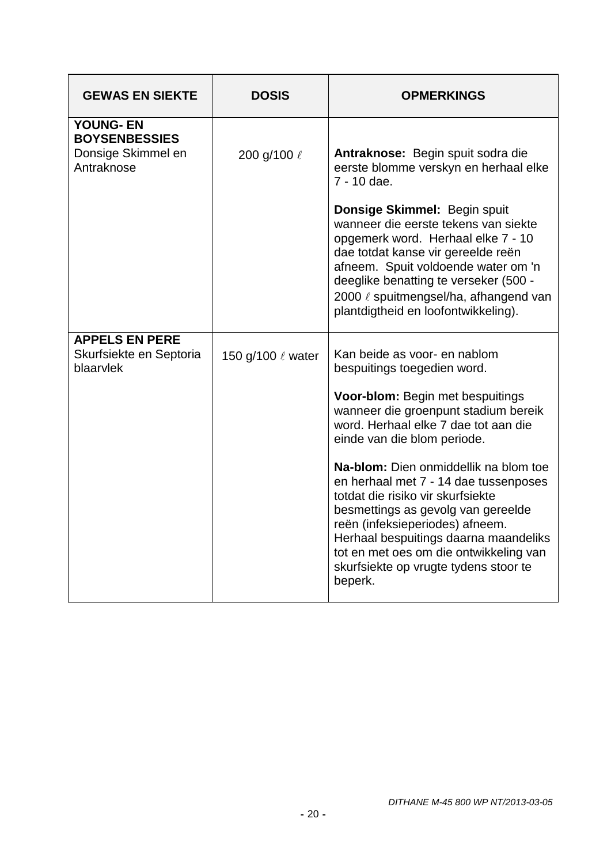| <b>GEWAS EN SIEKTE</b>                                                       | <b>DOSIS</b>      | <b>OPMERKINGS</b>                                                                                                                                                                                                                                                                                                                                                                                                                                                                                                                                     |
|------------------------------------------------------------------------------|-------------------|-------------------------------------------------------------------------------------------------------------------------------------------------------------------------------------------------------------------------------------------------------------------------------------------------------------------------------------------------------------------------------------------------------------------------------------------------------------------------------------------------------------------------------------------------------|
| <b>YOUNG- EN</b><br><b>BOYSENBESSIES</b><br>Donsige Skimmel en<br>Antraknose | 200 g/100 l       | Antraknose: Begin spuit sodra die<br>eerste blomme verskyn en herhaal elke<br>7 - 10 dae.<br>Donsige Skimmel: Begin spuit<br>wanneer die eerste tekens van siekte<br>opgemerk word. Herhaal elke 7 - 10<br>dae totdat kanse vir gereelde reën<br>afneem. Spuit voldoende water om 'n<br>deeglike benatting te verseker (500 -<br>2000 / spuitmengsel/ha, afhangend van<br>plantdigtheid en loofontwikkeling).                                                                                                                                         |
| <b>APPELS EN PERE</b><br>Skurfsiekte en Septoria<br>blaarvlek                | 150 g/100 ℓ water | Kan beide as voor- en nablom<br>bespuitings toegedien word.<br>Voor-blom: Begin met bespuitings<br>wanneer die groenpunt stadium bereik<br>word. Herhaal elke 7 dae tot aan die<br>einde van die blom periode.<br>Na-blom: Dien onmiddellik na blom toe<br>en herhaal met 7 - 14 dae tussenposes<br>totdat die risiko vir skurfsiekte<br>besmettings as gevolg van gereelde<br>reën (infeksieperiodes) afneem.<br>Herhaal bespuitings daarna maandeliks<br>tot en met oes om die ontwikkeling van<br>skurfsiekte op vrugte tydens stoor te<br>beperk. |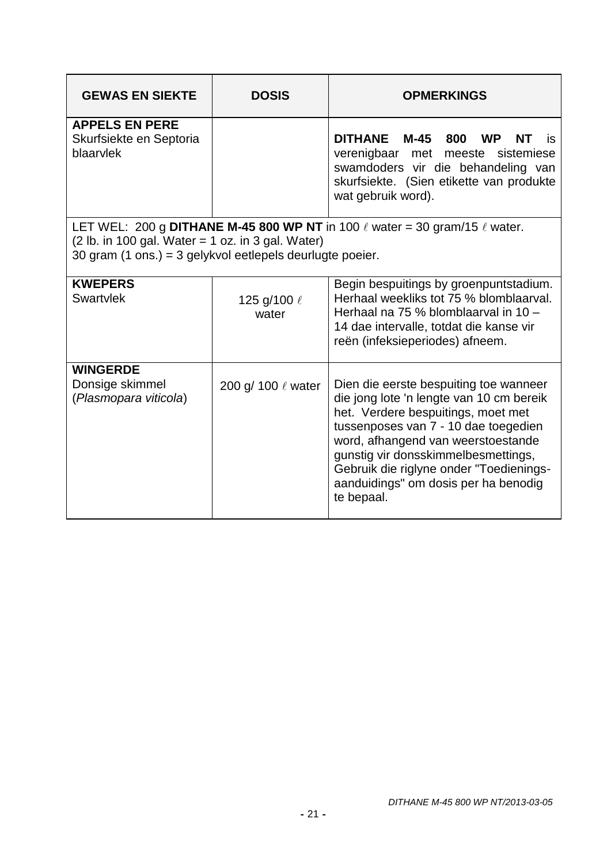| <b>GEWAS EN SIEKTE</b>                                                                                           | <b>DOSIS</b>            | <b>OPMERKINGS</b>                                                                                                                                                                                                                                                                                                                              |
|------------------------------------------------------------------------------------------------------------------|-------------------------|------------------------------------------------------------------------------------------------------------------------------------------------------------------------------------------------------------------------------------------------------------------------------------------------------------------------------------------------|
| <b>APPELS EN PERE</b><br>Skurfsiekte en Septoria<br>blaarvlek                                                    |                         | DITHANE M-45 800<br><b>WP</b><br>NT.<br>is<br>verenigbaar met meeste<br>sistemiese<br>swamdoders vir die behandeling van<br>skurfsiekte. (Sien etikette van produkte<br>wat gebruik word).                                                                                                                                                     |
| $(2 lb. in 100 gal. Water = 1 oz. in 3 gal. Water)$<br>30 gram (1 ons.) = 3 gelykvol eetlepels deurlugte poeier. |                         | LET WEL: 200 g DITHANE M-45 800 WP NT in 100 $\ell$ water = 30 gram/15 $\ell$ water.                                                                                                                                                                                                                                                           |
| <b>KWEPERS</b><br><b>Swartvlek</b>                                                                               | 125 g/100 l<br>water    | Begin bespuitings by groenpuntstadium.<br>Herhaal weekliks tot 75 % blomblaarval.<br>Herhaal na 75 % blomblaarval in 10 -<br>14 dae intervalle, totdat die kanse vir<br>reën (infeksieperiodes) afneem.                                                                                                                                        |
| <b>WINGERDE</b><br>Donsige skimmel<br>(Plasmopara viticola)                                                      | 200 g/ 100 $\ell$ water | Dien die eerste bespuiting toe wanneer<br>die jong lote 'n lengte van 10 cm bereik<br>het. Verdere bespuitings, moet met<br>tussenposes van 7 - 10 dae toegedien<br>word, afhangend van weerstoestande<br>gunstig vir donsskimmelbesmettings,<br>Gebruik die riglyne onder "Toedienings-<br>aanduidings" om dosis per ha benodig<br>te bepaal. |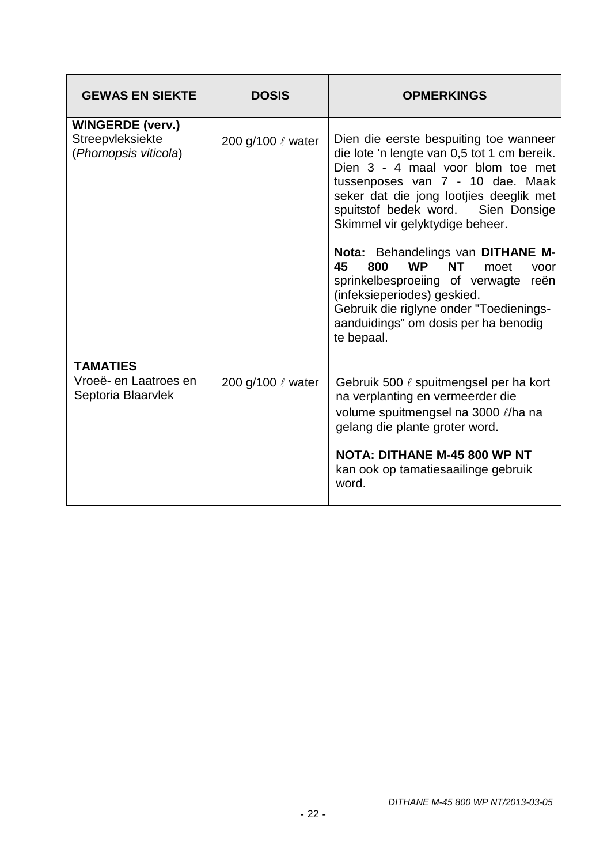| <b>GEWAS EN SIEKTE</b>                                              | <b>DOSIS</b>      | <b>OPMERKINGS</b>                                                                                                                                                                                                                                                                                                                                                                                                                                                                                                                                      |
|---------------------------------------------------------------------|-------------------|--------------------------------------------------------------------------------------------------------------------------------------------------------------------------------------------------------------------------------------------------------------------------------------------------------------------------------------------------------------------------------------------------------------------------------------------------------------------------------------------------------------------------------------------------------|
| <b>WINGERDE (verv.)</b><br>Streepvleksiekte<br>(Phomopsis viticola) | 200 g/100 ℓ water | Dien die eerste bespuiting toe wanneer<br>die lote 'n lengte van 0,5 tot 1 cm bereik.<br>Dien 3 - 4 maal voor blom toe met<br>tussenposes van 7 - 10 dae. Maak<br>seker dat die jong lootjies deeglik met<br>spuitstof bedek word. Sien Donsige<br>Skimmel vir gelyktydige beheer.<br>Nota: Behandelings van DITHANE M-<br><b>WP</b><br>45<br>800<br><b>NT</b><br>moet<br>voor<br>sprinkelbesproeiing of verwagte reën<br>(infeksieperiodes) geskied.<br>Gebruik die riglyne onder "Toedienings-<br>aanduidings" om dosis per ha benodig<br>te bepaal. |
| <b>TAMATIES</b><br>Vroeë- en Laatroes en<br>Septoria Blaarvlek      | 200 g/100 & water | Gebruik 500 ℓ spuitmengsel per ha kort<br>na verplanting en vermeerder die<br>volume spuitmengsel na 3000 l/ha na<br>gelang die plante groter word.<br><b>NOTA: DITHANE M-45 800 WP NT</b><br>kan ook op tamatiesaailinge gebruik<br>word.                                                                                                                                                                                                                                                                                                             |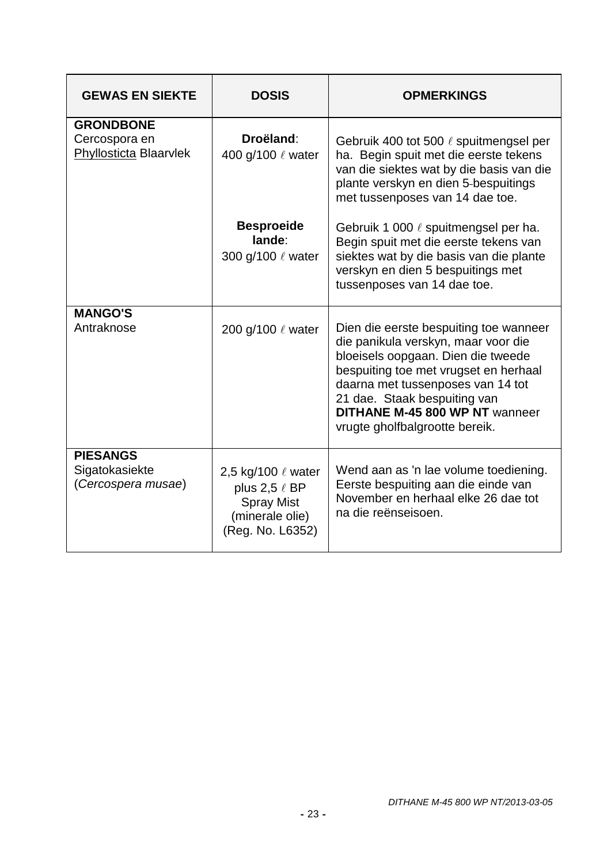| <b>GEWAS EN SIEKTE</b>                                      | <b>DOSIS</b>                                                                                         | <b>OPMERKINGS</b>                                                                                                                                                                                                                                                                                     |
|-------------------------------------------------------------|------------------------------------------------------------------------------------------------------|-------------------------------------------------------------------------------------------------------------------------------------------------------------------------------------------------------------------------------------------------------------------------------------------------------|
| <b>GRONDBONE</b><br>Cercospora en<br>Phyllosticta Blaarvlek | Droëland:<br>400 g/100 $\ell$ water                                                                  | Gebruik 400 tot 500 ℓ spuitmengsel per<br>ha. Begin spuit met die eerste tekens<br>van die siektes wat by die basis van die<br>plante verskyn en dien 5-bespuitings<br>met tussenposes van 14 dae toe.                                                                                                |
|                                                             | <b>Besproeide</b><br>lande:<br>300 g/100 $\ell$ water                                                | Gebruik 1 000 $\ell$ spuitmengsel per ha.<br>Begin spuit met die eerste tekens van<br>siektes wat by die basis van die plante<br>verskyn en dien 5 bespuitings met<br>tussenposes van 14 dae toe.                                                                                                     |
| <b>MANGO'S</b><br>Antraknose                                | 200 g/100 ℓ water                                                                                    | Dien die eerste bespuiting toe wanneer<br>die panikula verskyn, maar voor die<br>bloeisels oopgaan. Dien die tweede<br>bespuiting toe met vrugset en herhaal<br>daarna met tussenposes van 14 tot<br>21 dae. Staak bespuiting van<br>DITHANE M-45 800 WP NT wanneer<br>vrugte gholfbalgrootte bereik. |
| <b>PIESANGS</b><br>Sigatokasiekte<br>(Cercospera musae)     | 2,5 kg/100 ℓ water<br>plus 2,5 $\ell$ BP<br><b>Spray Mist</b><br>(minerale olie)<br>(Reg. No. L6352) | Wend aan as 'n lae volume toediening.<br>Eerste bespuiting aan die einde van<br>November en herhaal elke 26 dae tot<br>na die reënseisoen.                                                                                                                                                            |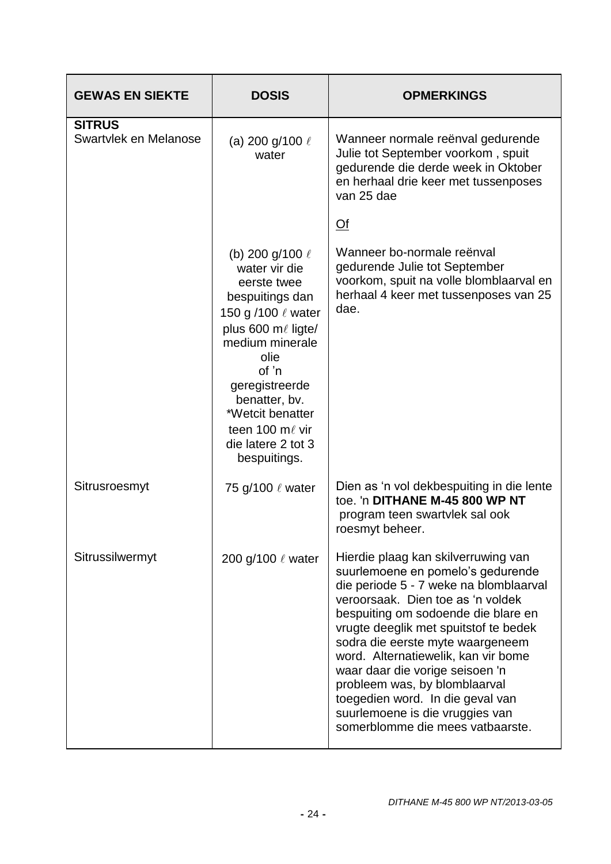| <b>GEWAS EN SIEKTE</b>                 | <b>DOSIS</b>                                                                                                                                                                                                                                                                 | <b>OPMERKINGS</b>                                                                                                                                                                                                                                                                                                                                                                                                                                                                                 |
|----------------------------------------|------------------------------------------------------------------------------------------------------------------------------------------------------------------------------------------------------------------------------------------------------------------------------|---------------------------------------------------------------------------------------------------------------------------------------------------------------------------------------------------------------------------------------------------------------------------------------------------------------------------------------------------------------------------------------------------------------------------------------------------------------------------------------------------|
| <b>SITRUS</b><br>Swartvlek en Melanose | (a) 200 g/100 $\ell$<br>water                                                                                                                                                                                                                                                | Wanneer normale reënval gedurende<br>Julie tot September voorkom, spuit<br>gedurende die derde week in Oktober<br>en herhaal drie keer met tussenposes<br>van 25 dae                                                                                                                                                                                                                                                                                                                              |
|                                        |                                                                                                                                                                                                                                                                              | $\overline{Of}$                                                                                                                                                                                                                                                                                                                                                                                                                                                                                   |
|                                        | (b) 200 g/100 $\ell$<br>water vir die<br>eerste twee<br>bespuitings dan<br>150 g /100 $\ell$ water<br>plus 600 ml ligte/<br>medium minerale<br>olie<br>of 'n<br>geregistreerde<br>benatter, bv.<br>*Wetcit benatter<br>teen 100 mℓ vir<br>die latere 2 tot 3<br>bespuitings. | Wanneer bo-normale reënval<br>gedurende Julie tot September<br>voorkom, spuit na volle blomblaarval en<br>herhaal 4 keer met tussenposes van 25<br>dae.                                                                                                                                                                                                                                                                                                                                           |
| Sitrusroesmyt                          | 75 g/100 ℓ water                                                                                                                                                                                                                                                             | Dien as 'n vol dekbespuiting in die lente<br>toe. 'n DITHANE M-45 800 WP NT<br>program teen swartvlek sal ook<br>roesmyt beheer.                                                                                                                                                                                                                                                                                                                                                                  |
| Sitrussilwermyt                        | 200 g/100 $\ell$ water                                                                                                                                                                                                                                                       | Hierdie plaag kan skilverruwing van<br>suurlemoene en pomelo's gedurende<br>die periode 5 - 7 weke na blomblaarval<br>veroorsaak. Dien toe as 'n voldek<br>bespuiting om sodoende die blare en<br>vrugte deeglik met spuitstof te bedek<br>sodra die eerste myte waargeneem<br>word. Alternatiewelik, kan vir bome<br>waar daar die vorige seisoen 'n<br>probleem was, by blomblaarval<br>toegedien word. In die geval van<br>suurlemoene is die vruggies van<br>somerblomme die mees vatbaarste. |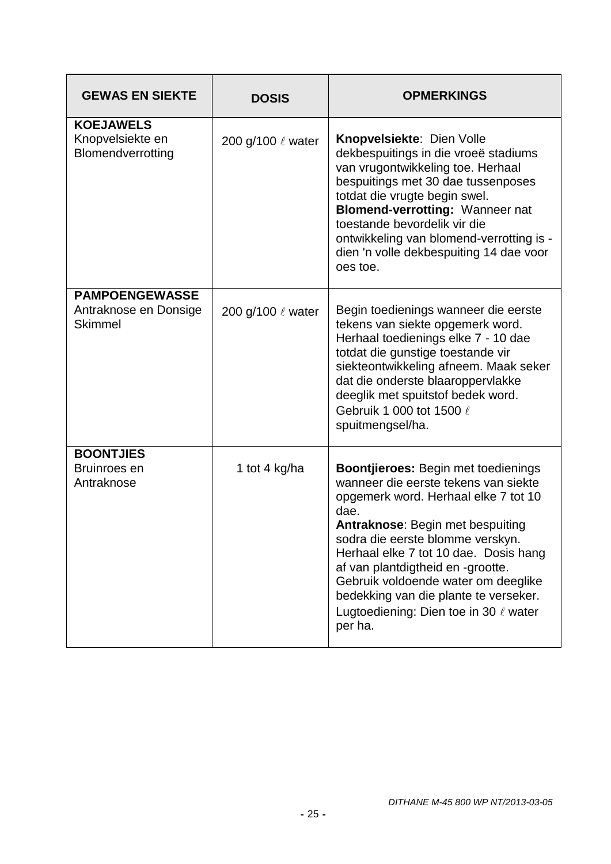| <b>GEWAS EN SIEKTE</b>                                           | <b>DOSIS</b>           | <b>OPMERKINGS</b>                                                                                                                                                                                                                                                                                                                                                                                                                        |
|------------------------------------------------------------------|------------------------|------------------------------------------------------------------------------------------------------------------------------------------------------------------------------------------------------------------------------------------------------------------------------------------------------------------------------------------------------------------------------------------------------------------------------------------|
| <b>KOEJAWELS</b><br>Knopvelsiekte en<br>Blomendverrotting        | 200 g/100 $\ell$ water | <b>Knopvelsiekte: Dien Volle</b><br>dekbespuitings in die vroeë stadiums<br>van vrugontwikkeling toe. Herhaal<br>bespuitings met 30 dae tussenposes<br>totdat die vrugte begin swel.<br>Blomend-verrotting: Wanneer nat<br>toestande bevordelik vir die<br>ontwikkeling van blomend-verrotting is -<br>dien 'n volle dekbespuiting 14 dae voor<br>oes toe.                                                                               |
| <b>PAMPOENGEWASSE</b><br>Antraknose en Donsige<br><b>Skimmel</b> | 200 g/100 $\ell$ water | Begin toedienings wanneer die eerste<br>tekens van siekte opgemerk word.<br>Herhaal toedienings elke 7 - 10 dae<br>totdat die gunstige toestande vir<br>siekteontwikkeling afneem. Maak seker<br>dat die onderste blaaroppervlakke<br>deeglik met spuitstof bedek word.<br>Gebruik 1 000 tot 1500 ℓ<br>spuitmengsel/ha.                                                                                                                  |
| <b>BOONTJIES</b><br>Bruinroes en<br>Antraknose                   | 1 tot 4 kg/ha          | <b>Boontjieroes: Begin met toedienings</b><br>wanneer die eerste tekens van siekte<br>opgemerk word. Herhaal elke 7 tot 10<br>dae.<br><b>Antraknose: Begin met bespuiting</b><br>sodra die eerste blomme verskyn.<br>Herhaal elke 7 tot 10 dae. Dosis hang<br>af van plantdigtheid en -grootte.<br>Gebruik voldoende water om deeglike<br>bedekking van die plante te verseker.<br>Lugtoediening: Dien toe in 30 $\ell$ water<br>per ha. |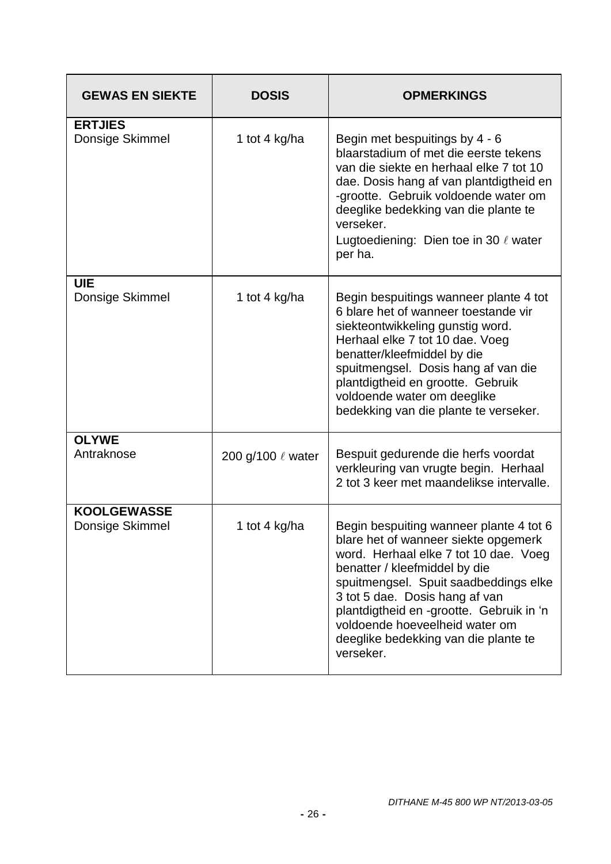| <b>GEWAS EN SIEKTE</b>                | <b>DOSIS</b>      | <b>OPMERKINGS</b>                                                                                                                                                                                                                                                                                                                                                       |
|---------------------------------------|-------------------|-------------------------------------------------------------------------------------------------------------------------------------------------------------------------------------------------------------------------------------------------------------------------------------------------------------------------------------------------------------------------|
| <b>ERTJIES</b><br>Donsige Skimmel     | 1 tot 4 kg/ha     | Begin met bespuitings by 4 - 6<br>blaarstadium of met die eerste tekens<br>van die siekte en herhaal elke 7 tot 10<br>dae. Dosis hang af van plantdigtheid en<br>-grootte. Gebruik voldoende water om<br>deeglike bedekking van die plante te<br>verseker.<br>Lugtoediening: Dien toe in 30 $\ell$ water<br>per ha.                                                     |
| <b>UIE</b><br>Donsige Skimmel         | 1 tot 4 kg/ha     | Begin bespuitings wanneer plante 4 tot<br>6 blare het of wanneer toestande vir<br>siekteontwikkeling gunstig word.<br>Herhaal elke 7 tot 10 dae. Voeg<br>benatter/kleefmiddel by die<br>spuitmengsel. Dosis hang af van die<br>plantdigtheid en grootte. Gebruik<br>voldoende water om deeglike<br>bedekking van die plante te verseker.                                |
| <b>OLYWE</b><br>Antraknose            | 200 g/100 ℓ water | Bespuit gedurende die herfs voordat<br>verkleuring van vrugte begin. Herhaal<br>2 tot 3 keer met maandelikse intervalle.                                                                                                                                                                                                                                                |
| <b>KOOLGEWASSE</b><br>Donsige Skimmel | 1 tot 4 kg/ha     | Begin bespuiting wanneer plante 4 tot 6<br>blare het of wanneer siekte opgemerk<br>word. Herhaal elke 7 tot 10 dae. Voeg<br>benatter / kleefmiddel by die<br>spuitmengsel. Spuit saadbeddings elke<br>3 tot 5 dae. Dosis hang af van<br>plantdigtheid en -grootte. Gebruik in 'n<br>voldoende hoeveelheid water om<br>deeglike bedekking van die plante te<br>verseker. |